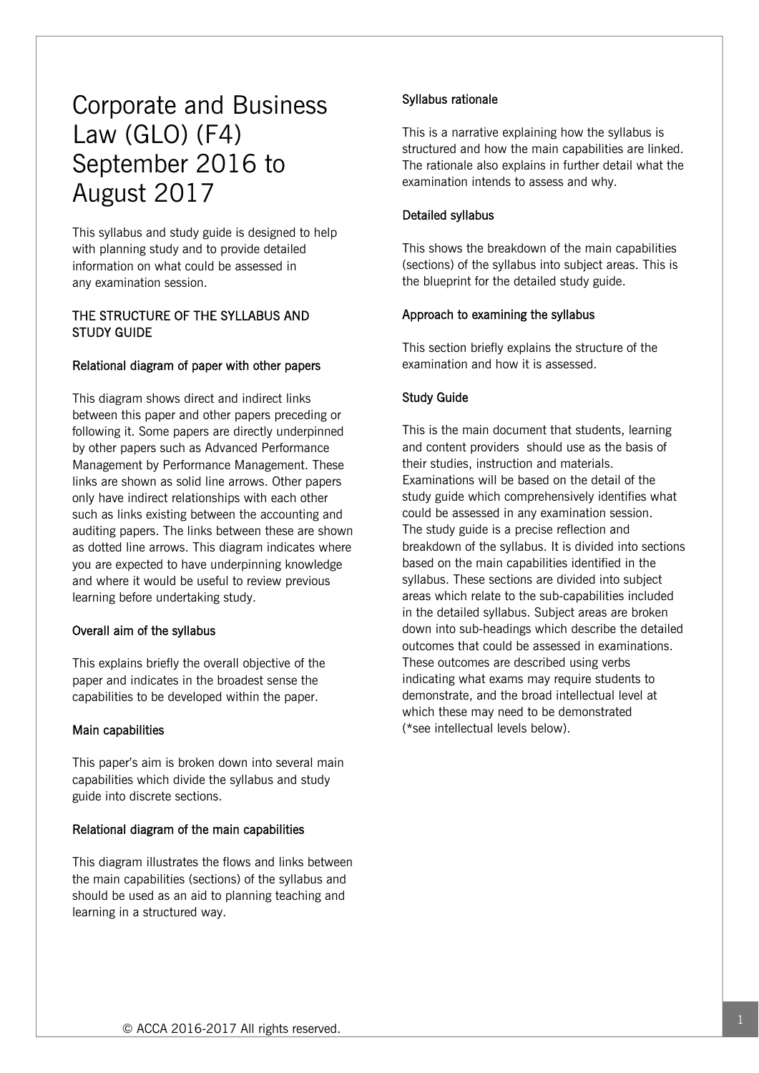# Corporate and Business Law (GLO) (F4) September 2016 to August 2017

This syllabus and study guide is designed to help with planning study and to provide detailed information on what could be assessed in any examination session.

# THE STRUCTURE OF THE SYLLABUS AND STUDY GUIDE

## Relational diagram of paper with other papers

This diagram shows direct and indirect links between this paper and other papers preceding or following it. Some papers are directly underpinned by other papers such as Advanced Performance Management by Performance Management. These links are shown as solid line arrows. Other papers only have indirect relationships with each other such as links existing between the accounting and auditing papers. The links between these are shown as dotted line arrows. This diagram indicates where you are expected to have underpinning knowledge and where it would be useful to review previous learning before undertaking study.

#### Overall aim of the syllabus

This explains briefly the overall objective of the paper and indicates in the broadest sense the capabilities to be developed within the paper.

#### Main capabilities

This paper's aim is broken down into several main capabilities which divide the syllabus and study guide into discrete sections.

#### Relational diagram of the main capabilities

This diagram illustrates the flows and links between the main capabilities (sections) of the syllabus and should be used as an aid to planning teaching and learning in a structured way.

## Syllabus rationale

This is a narrative explaining how the syllabus is structured and how the main capabilities are linked. The rationale also explains in further detail what the examination intends to assess and why.

#### Detailed syllabus

This shows the breakdown of the main capabilities (sections) of the syllabus into subject areas. This is the blueprint for the detailed study guide.

#### Approach to examining the syllabus

This section briefly explains the structure of the examination and how it is assessed.

#### Study Guide

This is the main document that students, learning and content providers should use as the basis of their studies, instruction and materials. Examinations will be based on the detail of the study guide which comprehensively identifies what could be assessed in any examination session. The study guide is a precise reflection and breakdown of the syllabus. It is divided into sections based on the main capabilities identified in the syllabus. These sections are divided into subject areas which relate to the sub-capabilities included in the detailed syllabus. Subject areas are broken down into sub-headings which describe the detailed outcomes that could be assessed in examinations. These outcomes are described using verbs indicating what exams may require students to demonstrate, and the broad intellectual level at which these may need to be demonstrated (\*see intellectual levels below).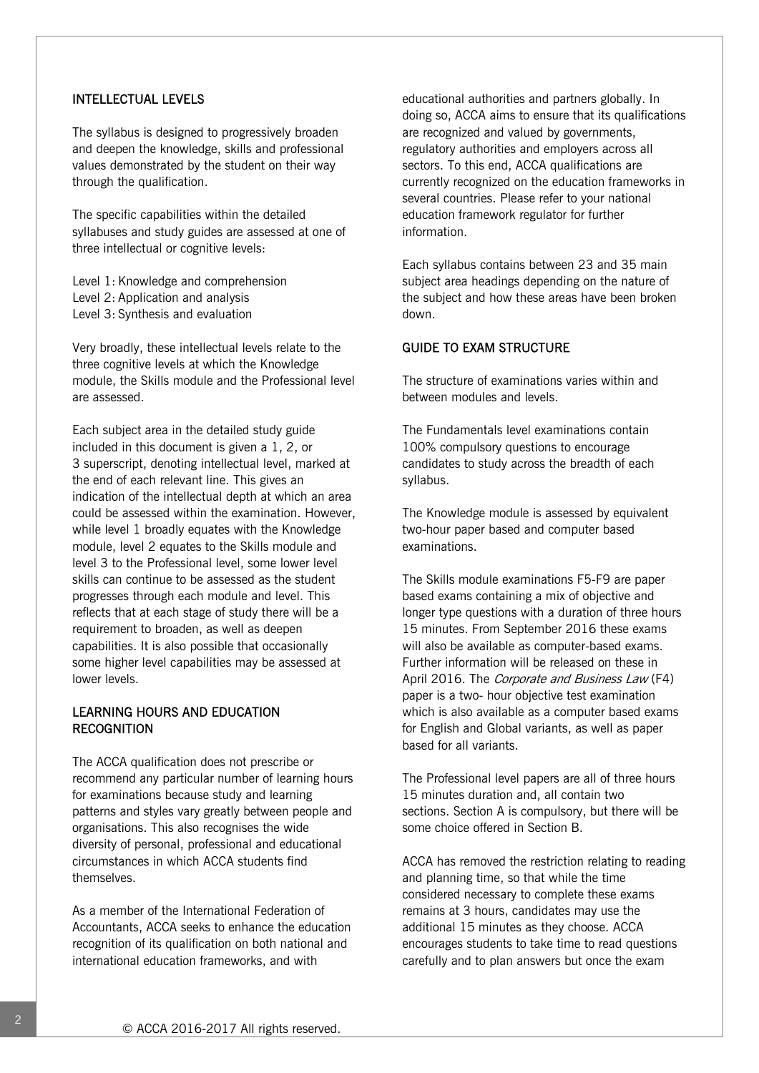#### INTELLECTUAL LEVELS

The syllabus is designed to progressively broaden and deepen the knowledge, skills and professional values demonstrated by the student on their way through the qualification.

The specific capabilities within the detailed syllabuses and study guides are assessed at one of three intellectual or cognitive levels:

Level 1: Knowledge and comprehension Level 2: Application and analysis Level 3: Synthesis and evaluation

Very broadly, these intellectual levels relate to the three cognitive levels at which the Knowledge module, the Skills module and the Professional level are assessed.

Each subject area in the detailed study guide included in this document is given a 1, 2, or 3 superscript, denoting intellectual level, marked at the end of each relevant line. This gives an indication of the intellectual depth at which an area could be assessed within the examination. However, while level 1 broadly equates with the Knowledge module, level 2 equates to the Skills module and level 3 to the Professional level, some lower level skills can continue to be assessed as the student progresses through each module and level. This reflects that at each stage of study there will be a requirement to broaden, as well as deepen capabilities. It is also possible that occasionally some higher level capabilities may be assessed at lower levels.

# LEARNING HOURS AND EDUCATION **RECOGNITION**

The ACCA qualification does not prescribe or recommend any particular number of learning hours for examinations because study and learning patterns and styles vary greatly between people and organisations. This also recognises the wide diversity of personal, professional and educational circumstances in which ACCA students find themselves.

As a member of the International Federation of Accountants, ACCA seeks to enhance the education recognition of its qualification on both national and international education frameworks, and with

educational authorities and partners globally. In doing so, ACCA aims to ensure that its qualifications are recognized and valued by governments, regulatory authorities and employers across all sectors. To this end, ACCA qualifications are currently recognized on the education frameworks in several countries. Please refer to your national education framework regulator for further information.

Each syllabus contains between 23 and 35 main subject area headings depending on the nature of the subject and how these areas have been broken down.

## GUIDE TO EXAM STRUCTURE

The structure of examinations varies within and between modules and levels.

The Fundamentals level examinations contain 100% compulsory questions to encourage candidates to study across the breadth of each syllabus.

The Knowledge module is assessed by equivalent two-hour paper based and computer based examinations.

The Skills module examinations F5-F9 are paper based exams containing a mix of objective and longer type questions with a duration of three hours 15 minutes. From September 2016 these exams will also be available as computer-based exams. Further information will be released on these in April 2016. The Corporate and Business Law (F4) paper is a two- hour objective test examination which is also available as a computer based exams for English and Global variants, as well as paper based for all variants.

The Professional level papers are all of three hours 15 minutes duration and, all contain two sections. Section A is compulsory, but there will be some choice offered in Section B.

ACCA has removed the restriction relating to reading and planning time, so that while the time considered necessary to complete these exams remains at 3 hours, candidates may use the additional 15 minutes as they choose. ACCA encourages students to take time to read questions carefully and to plan answers but once the exam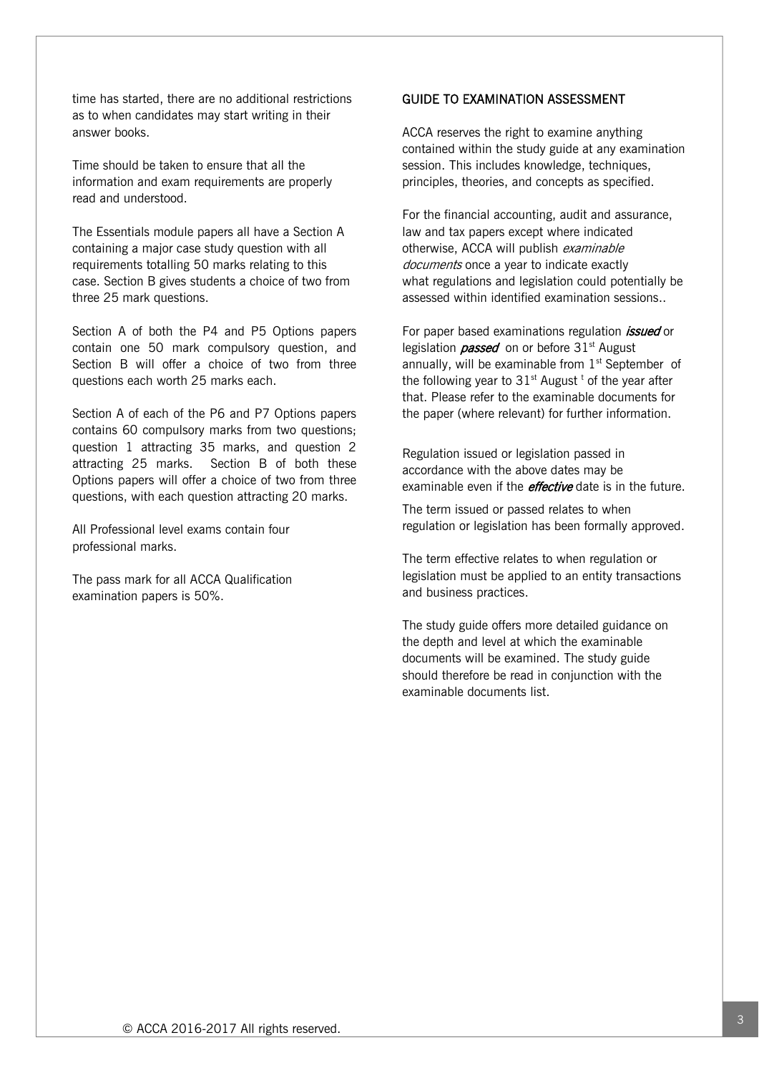time has started, there are no additional restrictions as to when candidates may start writing in their answer books.

Time should be taken to ensure that all the information and exam requirements are properly read and understood.

The Essentials module papers all have a Section A containing a major case study question with all requirements totalling 50 marks relating to this case. Section B gives students a choice of two from three 25 mark questions.

Section A of both the P4 and P5 Options papers contain one 50 mark compulsory question, and Section B will offer a choice of two from three questions each worth 25 marks each.

Section A of each of the P6 and P7 Options papers contains 60 compulsory marks from two questions; question 1 attracting 35 marks, and question 2 attracting 25 marks. Section B of both these Options papers will offer a choice of two from three questions, with each question attracting 20 marks.

All Professional level exams contain four professional marks.

The pass mark for all ACCA Qualification examination papers is 50%.

# GUIDE TO EXAMINATION ASSESSMENT

ACCA reserves the right to examine anything contained within the study guide at any examination session. This includes knowledge, techniques, principles, theories, and concepts as specified.

For the financial accounting, audit and assurance, law and tax papers except where indicated otherwise, ACCA will publish examinable documents once a year to indicate exactly what regulations and legislation could potentially be assessed within identified examination sessions..

For paper based examinations regulation *issued* or legislation *passed* on or before  $31<sup>st</sup>$  August annually, will be examinable from  $1<sup>st</sup>$  September of the following year to  $31<sup>st</sup>$  August<sup>t</sup> of the year after that. Please refer to the examinable documents for the paper (where relevant) for further information.

Regulation issued or legislation passed in accordance with the above dates may be examinable even if the *effective* date is in the future.

The term issued or passed relates to when regulation or legislation has been formally approved.

The term effective relates to when regulation or legislation must be applied to an entity transactions and business practices.

The study guide offers more detailed guidance on the depth and level at which the examinable documents will be examined. The study guide should therefore be read in conjunction with the examinable documents list.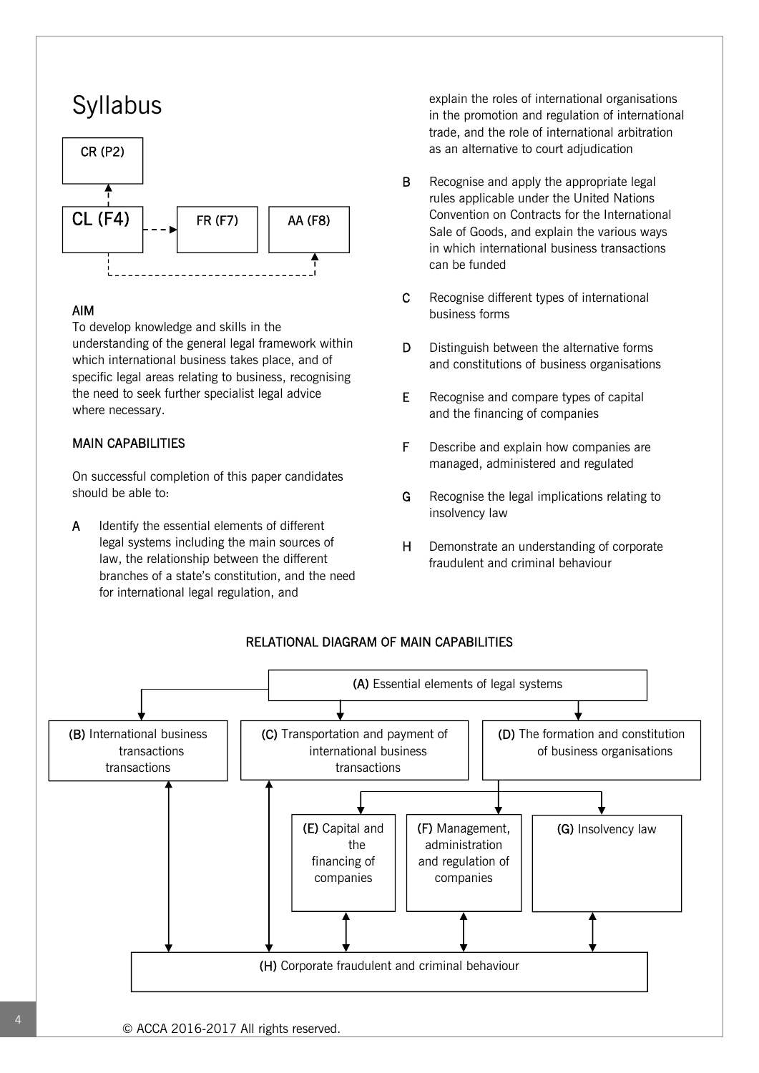# Syllabus



# AIM

To develop knowledge and skills in the understanding of the general legal framework within which international business takes place, and of specific legal areas relating to business, recognising the need to seek further specialist legal advice where necessary.

## MAIN CAPABILITIES

On successful completion of this paper candidates should be able to:

A Identify the essential elements of different legal systems including the main sources of law, the relationship between the different branches of a state's constitution, and the need for international legal regulation, and

explain the roles of international organisations in the promotion and regulation of international trade, and the role of international arbitration as an alternative to court adjudication

- **B** Recognise and apply the appropriate legal rules applicable under the United Nations Convention on Contracts for the International Sale of Goods, and explain the various ways in which international business transactions can be funded
- C Recognise different types of international business forms
- D Distinguish between the alternative forms and constitutions of business organisations
- E Recognise and compare types of capital and the financing of companies
- F Describe and explain how companies are managed, administered and regulated
- G Recognise the legal implications relating to insolvency law
- H Demonstrate an understanding of corporate fraudulent and criminal behaviour



## RELATIONAL DIAGRAM OF MAIN CAPABILITIES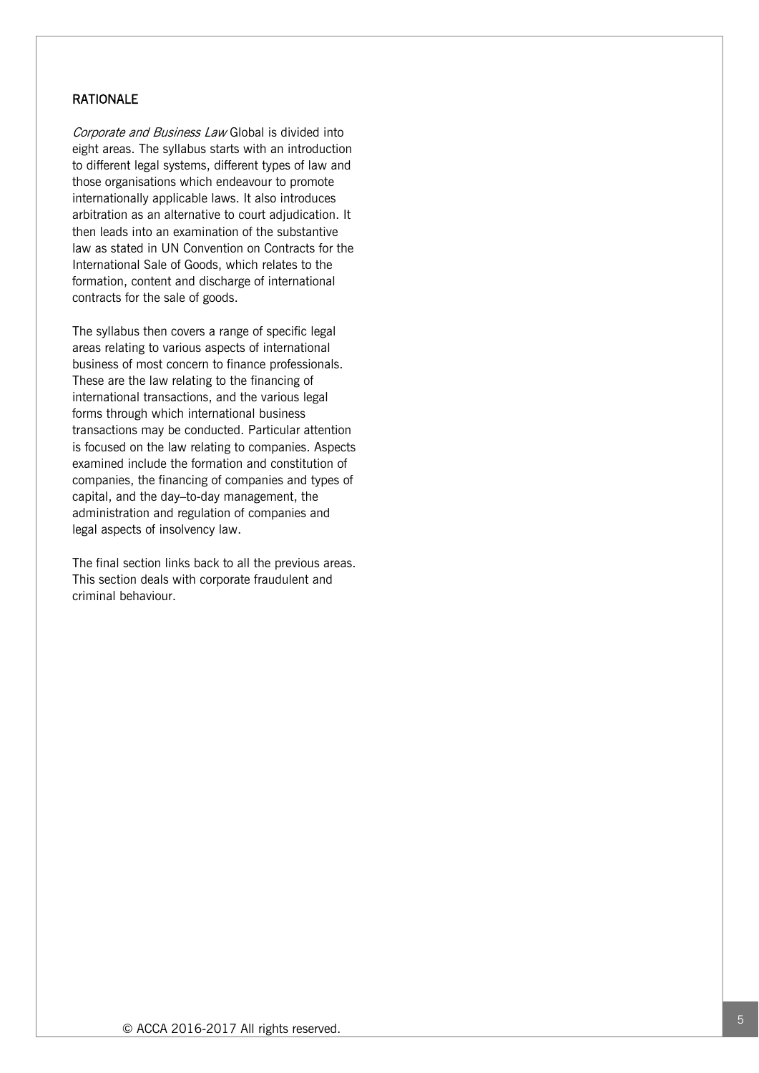## RATIONALE

Corporate and Business Law Global is divided into eight areas. The syllabus starts with an introduction to different legal systems, different types of law and those organisations which endeavour to promote internationally applicable laws. It also introduces arbitration as an alternative to court adjudication. It then leads into an examination of the substantive law as stated in UN Convention on Contracts for the International Sale of Goods, which relates to the formation, content and discharge of international contracts for the sale of goods.

The syllabus then covers a range of specific legal areas relating to various aspects of international business of most concern to finance professionals. These are the law relating to the financing of international transactions, and the various legal forms through which international business transactions may be conducted. Particular attention is focused on the law relating to companies. Aspects examined include the formation and constitution of companies, the financing of companies and types of capital, and the day–to-day management, the administration and regulation of companies and legal aspects of insolvency law.

The final section links back to all the previous areas. This section deals with corporate fraudulent and criminal behaviour.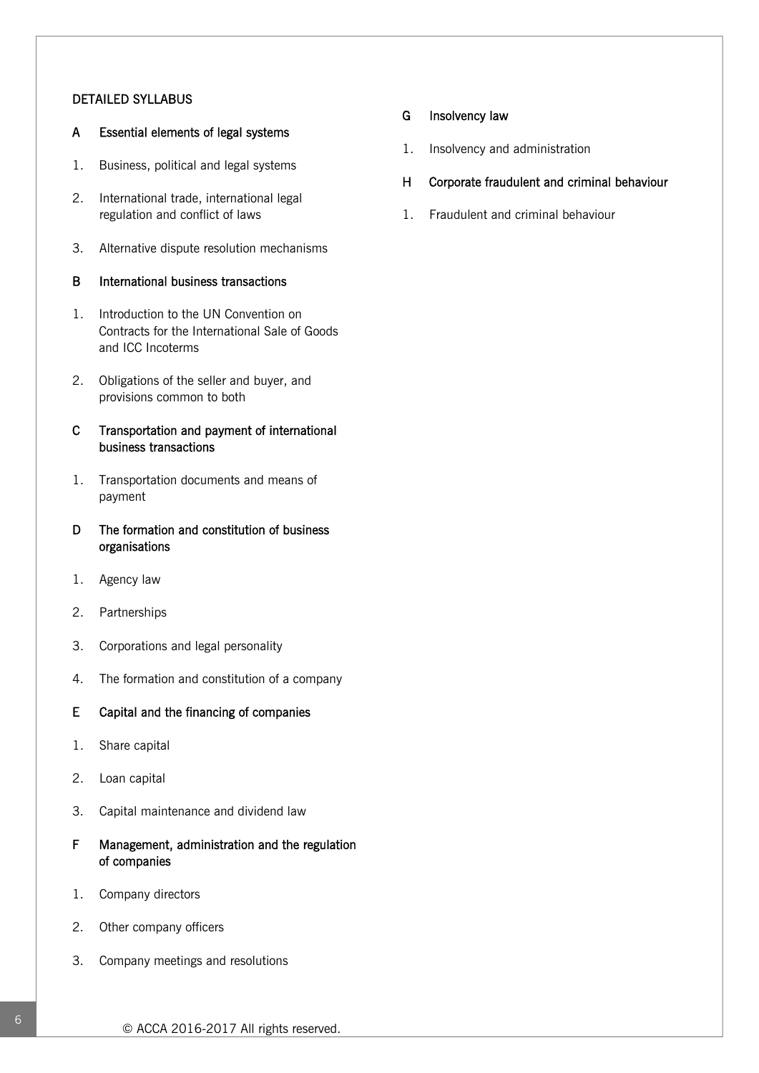## DETAILED SYLLABUS

## A Essential elements of legal systems

- 1. Business, political and legal systems
- 2. International trade, international legal regulation and conflict of laws
- 3. Alternative dispute resolution mechanisms

## B International business transactions

- 1. Introduction to the UN Convention on Contracts for the International Sale of Goods and ICC Incoterms
- 2. Obligations of the seller and buyer, and provisions common to both

## C Transportation and payment of international business transactions

- 1. Transportation documents and means of payment
- D The formation and constitution of business organisations
- 1. Agency law
- 2. Partnerships
- 3. Corporations and legal personality
- 4. The formation and constitution of a company

#### E Capital and the financing of companies

- 1. Share capital
- 2. Loan capital
- 3. Capital maintenance and dividend law
- F Management, administration and the regulation of companies
- 1. Company directors
- 2. Other company officers
- 3. Company meetings and resolutions

## G Insolvency law

- 1. Insolvency and administration
- H Corporate fraudulent and criminal behaviour
- 1. Fraudulent and criminal behaviour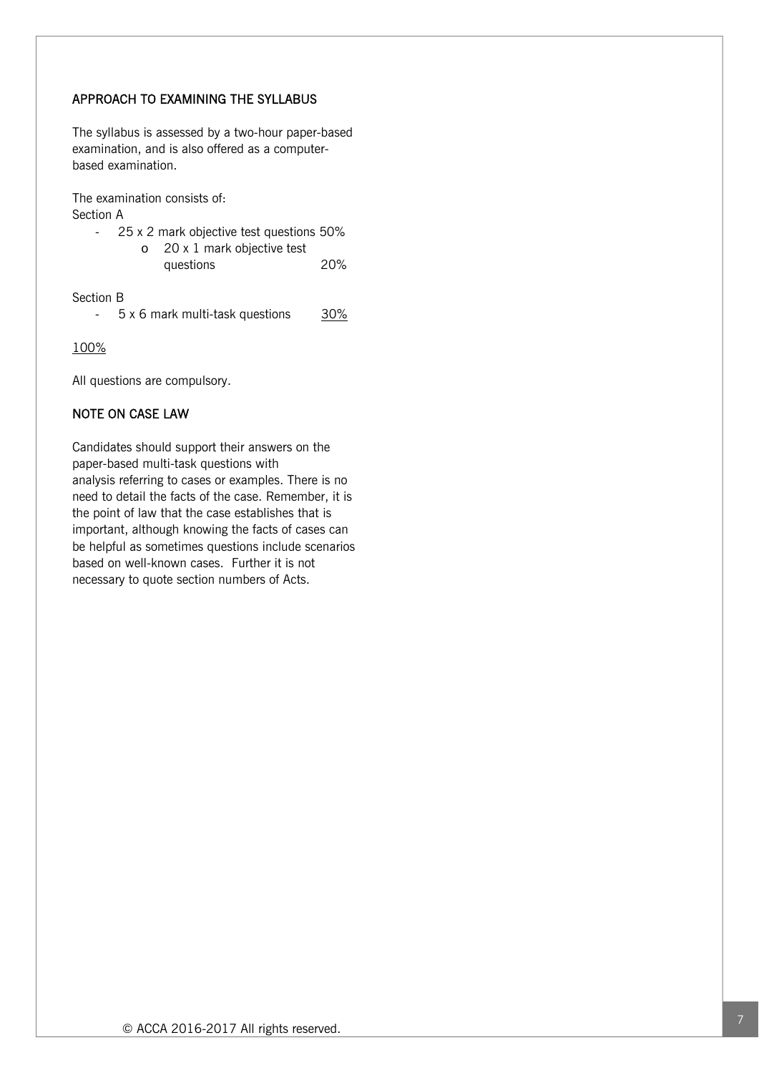# APPROACH TO EXAMINING THE SYLLABUS

The syllabus is assessed by a two-hour paper-based examination, and is also offered as a computerbased examination.

The examination consists of:

Section A

- 25 x 2 mark objective test questions 50%
	- o 20 x 1 mark objective test
		- questions 20%

Section B

- 5 x 6 mark multi-task questions 30%

100%

All questions are compulsory.

# NOTE ON CASE LAW

Candidates should support their answers on the paper-based multi-task questions with analysis referring to cases or examples. There is no need to detail the facts of the case. Remember, it is the point of law that the case establishes that is important, although knowing the facts of cases can be helpful as sometimes questions include scenarios based on well-known cases. Further it is not necessary to quote section numbers of Acts.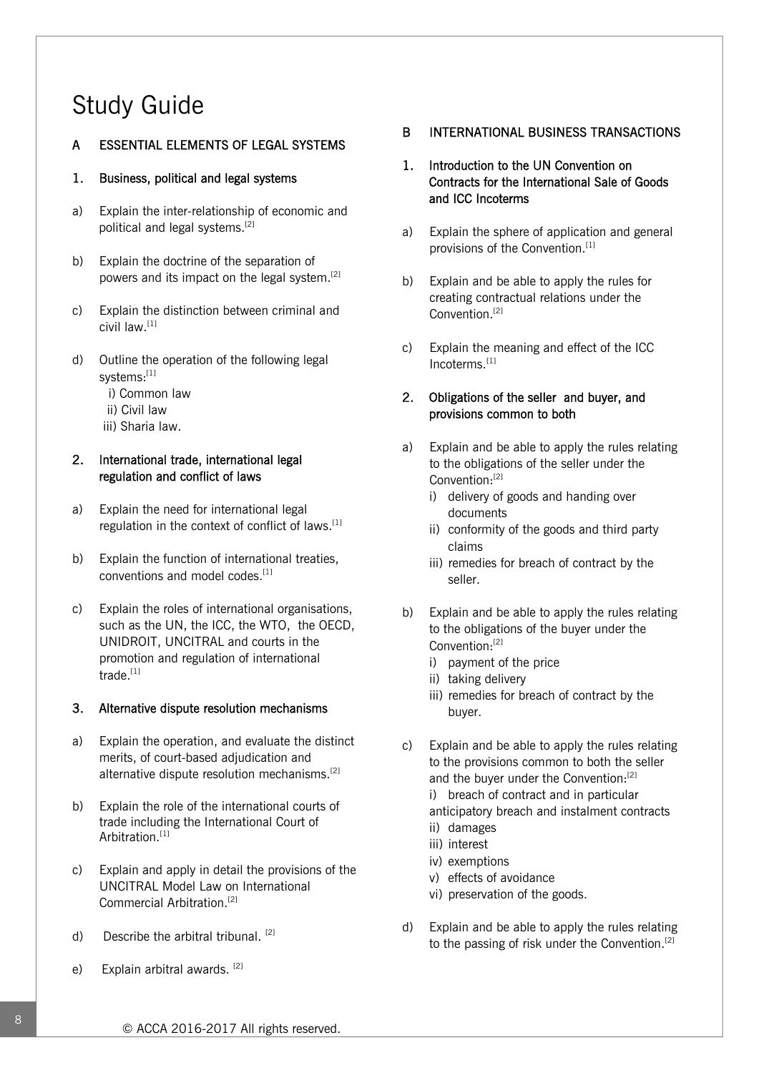# Study Guide

# A ESSENTIAL ELEMENTS OF LEGAL SYSTEMS

## 1. Business, political and legal systems

- a) Explain the inter-relationship of economic and political and legal systems.[2]
- b) Explain the doctrine of the separation of powers and its impact on the legal system.[2]
- c) Explain the distinction between criminal and civil law.[1]
- d) Outline the operation of the following legal systems:[1]
	- i) Common law
	- ii) Civil law
	- iii) Sharia law.

# 2. International trade, international legal regulation and conflict of laws

- a) Explain the need for international legal regulation in the context of conflict of laws.<sup>[1]</sup>
- b) Explain the function of international treaties, conventions and model codes.<sup>[1]</sup>
- c) Explain the roles of international organisations, such as the UN, the ICC, the WTO, the OECD, UNIDROIT, UNCITRAL and courts in the promotion and regulation of international trade.<sup>[1]</sup>

# 3. Alternative dispute resolution mechanisms

- a) Explain the operation, and evaluate the distinct merits, of court-based adjudication and alternative dispute resolution mechanisms.<sup>[2]</sup>
- b) Explain the role of the international courts of trade including the International Court of Arbitration.<sup>[1]</sup>
- c) Explain and apply in detail the provisions of the UNCITRAL Model Law on International Commercial Arbitration.[2]
- d) Describe the arbitral tribunal. [2]
- e) Explain arbitral awards. [2]

# B INTERNATIONAL BUSINESS TRANSACTIONS

- 1. Introduction to the UN Convention on Contracts for the International Sale of Goods and ICC Incoterms
- a) Explain the sphere of application and general provisions of the Convention.[1]
- b) Explain and be able to apply the rules for creating contractual relations under the Convention.<sup>[2]</sup>
- c) Explain the meaning and effect of the ICC Incoterms.[1]

# 2. Obligations of the seller and buyer, and provisions common to both

- a) Explain and be able to apply the rules relating to the obligations of the seller under the Convention:[2]
	- i) delivery of goods and handing over documents
	- ii) conformity of the goods and third party claims
	- iii) remedies for breach of contract by the seller.
- b) Explain and be able to apply the rules relating to the obligations of the buyer under the Convention:[2]
	- i) payment of the price
	- ii) taking delivery
	- iii) remedies for breach of contract by the buyer.
- c) Explain and be able to apply the rules relating to the provisions common to both the seller and the buver under the Convention:<sup>[2]</sup>
	- i) breach of contract and in particular anticipatory breach and instalment contracts
	- ii) damages
	- iii) interest
	- iv) exemptions
	- v) effects of avoidance
	- vi) preservation of the goods.
- d) Explain and be able to apply the rules relating to the passing of risk under the Convention.<sup>[2]</sup>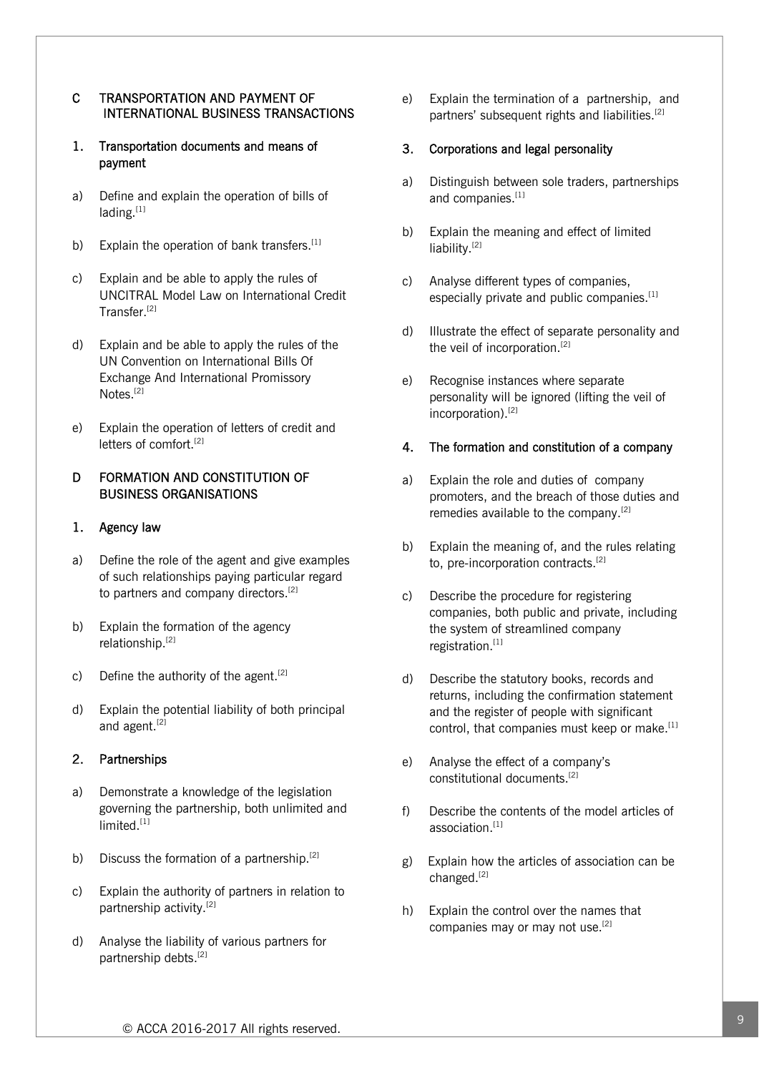## C TRANSPORTATION AND PAYMENT OF INTERNATIONAL BUSINESS TRANSACTIONS

## 1. Transportation documents and means of payment

- a) Define and explain the operation of bills of lading.<sup>[1]</sup>
- b) Explain the operation of bank transfers.<sup>[1]</sup>
- c) Explain and be able to apply the rules of UNCITRAL Model Law on International Credit Transfer.[2]
- d) Explain and be able to apply the rules of the UN Convention on International Bills Of Exchange And International Promissory Notes.<sup>[2]</sup>
- e) Explain the operation of letters of credit and letters of comfort.<sup>[2]</sup>

## D FORMATION AND CONSTITUTION OF BUSINESS ORGANISATIONS

## 1. Agency law

- a) Define the role of the agent and give examples of such relationships paying particular regard to partners and company directors.<sup>[2]</sup>
- b) Explain the formation of the agency relationship.[2]
- c) Define the authority of the agent.<sup>[2]</sup>
- d) Explain the potential liability of both principal and agent.<sup>[2]</sup>

## 2. Partnerships

- a) Demonstrate a knowledge of the legislation governing the partnership, both unlimited and limited.<sup>[1]</sup>
- b) Discuss the formation of a partnership.  $[2]$
- c) Explain the authority of partners in relation to partnership activity.[2]
- d) Analyse the liability of various partners for partnership debts.<sup>[2]</sup>

e) Explain the termination of a partnership, and partners' subsequent rights and liabilities.[2]

#### 3. Corporations and legal personality

- a) Distinguish between sole traders, partnerships and companies.<sup>[1]</sup>
- b) Explain the meaning and effect of limited liability.<sup>[2]</sup>
- c) Analyse different types of companies, especially private and public companies.<sup>[1]</sup>
- d) Illustrate the effect of separate personality and the veil of incorporation.<sup>[2]</sup>
- e) Recognise instances where separate personality will be ignored (lifting the veil of incorporation).[2]

#### 4. The formation and constitution of a company

- a) Explain the role and duties of company promoters, and the breach of those duties and remedies available to the company.<sup>[2]</sup>
- b) Explain the meaning of, and the rules relating to, pre-incorporation contracts.<sup>[2]</sup>
- c) Describe the procedure for registering companies, both public and private, including the system of streamlined company registration.<sup>[1]</sup>
- d) Describe the statutory books, records and returns, including the confirmation statement and the register of people with significant control, that companies must keep or make.<sup>[1]</sup>
- e) Analyse the effect of a company's constitutional documents.[2]
- f) Describe the contents of the model articles of association.[1]
- g) Explain how the articles of association can be changed.[2]
- h) Explain the control over the names that companies may or may not use.<sup>[2]</sup>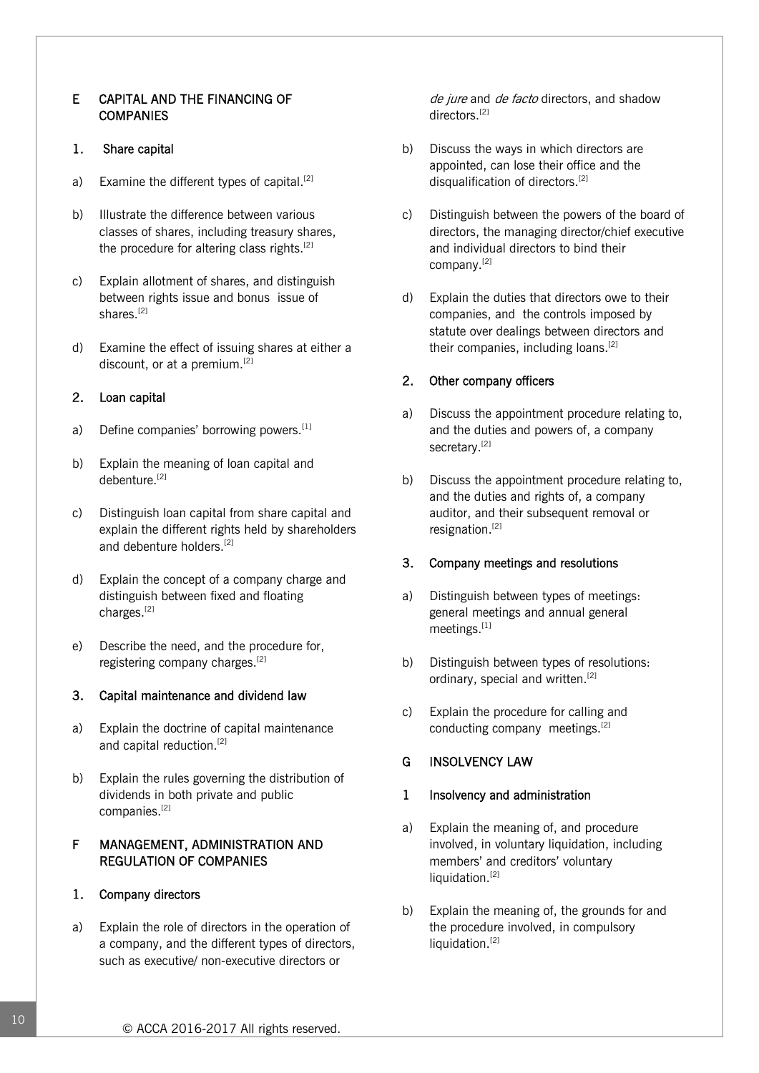## E CAPITAL AND THE FINANCING OF **COMPANIES**

## 1. Share capital

- a) Examine the different types of capital.<sup>[2]</sup>
- b) Illustrate the difference between various classes of shares, including treasury shares, the procedure for altering class rights.<sup>[2]</sup>
- c) Explain allotment of shares, and distinguish between rights issue and bonus issue of shares.<sup>[2]</sup>
- d) Examine the effect of issuing shares at either a discount, or at a premium.<sup>[2]</sup>

## 2. Loan capital

- a) Define companies' borrowing powers.  $[1]$
- b) Explain the meaning of loan capital and debenture.<sup>[2]</sup>
- c) Distinguish loan capital from share capital and explain the different rights held by shareholders and debenture holders.<sup>[2]</sup>
- d) Explain the concept of a company charge and distinguish between fixed and floating charges.[2]
- e) Describe the need, and the procedure for, registering company charges.[2]

#### 3. Capital maintenance and dividend law

- a) Explain the doctrine of capital maintenance and capital reduction.<sup>[2]</sup>
- b) Explain the rules governing the distribution of dividends in both private and public companies.[2]

## F MANAGEMENT, ADMINISTRATION AND REGULATION OF COMPANIES

#### 1. Company directors

a) Explain the role of directors in the operation of a company, and the different types of directors, such as executive/ non-executive directors or

de jure and de facto directors, and shadow directors.[2]

- b) Discuss the ways in which directors are appointed, can lose their office and the disqualification of directors.<sup>[2]</sup>
- c) Distinguish between the powers of the board of directors, the managing director/chief executive and individual directors to bind their company.[2]
- d) Explain the duties that directors owe to their companies, and the controls imposed by statute over dealings between directors and their companies, including loans.<sup>[2]</sup>

#### 2. Other company officers

- a) Discuss the appointment procedure relating to, and the duties and powers of, a company secretary.<sup>[2]</sup>
- b) Discuss the appointment procedure relating to, and the duties and rights of, a company auditor, and their subsequent removal or resignation.[2]

#### 3. Company meetings and resolutions

- a) Distinguish between types of meetings: general meetings and annual general meetings.[1]
- b) Distinguish between types of resolutions: ordinary, special and written.<sup>[2]</sup>
- c) Explain the procedure for calling and conducting company meetings.<sup>[2]</sup>

#### G INSOLVENCY LAW

#### 1 Insolvency and administration

- a) Explain the meaning of, and procedure involved, in voluntary liquidation, including members' and creditors' voluntary liquidation.<sup>[2]</sup>
- b) Explain the meaning of, the grounds for and the procedure involved, in compulsory liquidation.<sup>[2]</sup>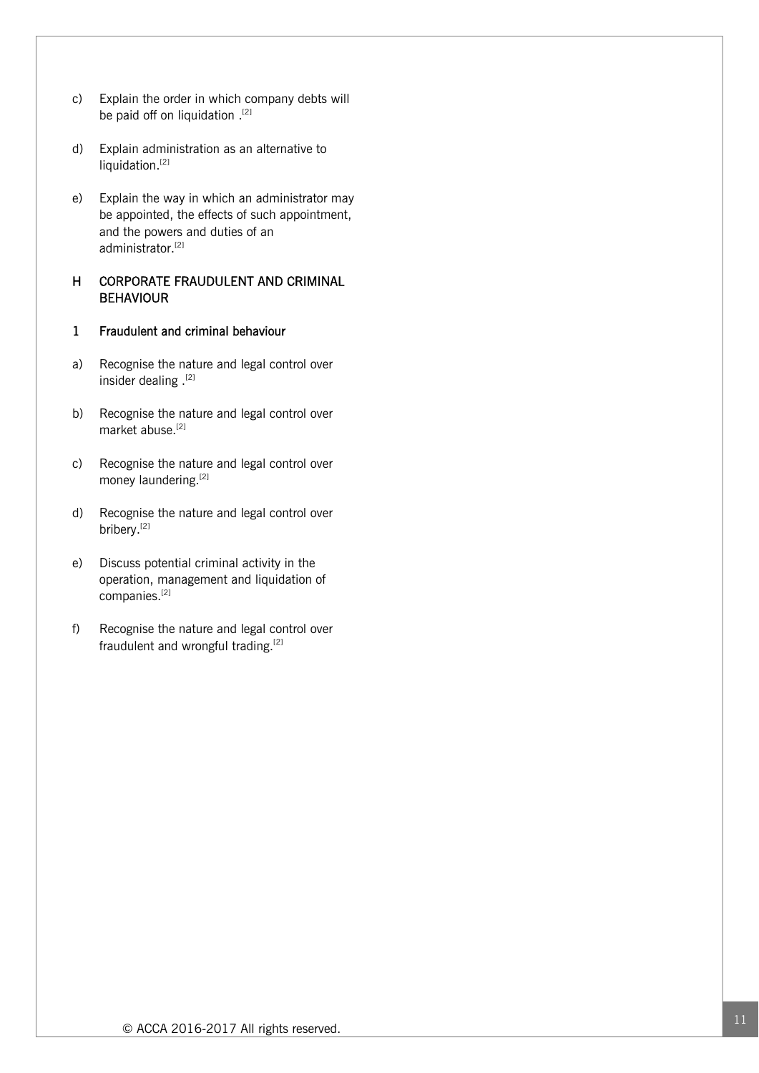- c) Explain the order in which company debts will be paid off on liquidation .[2]
- d) Explain administration as an alternative to liquidation.<sup>[2]</sup>
- e) Explain the way in which an administrator may be appointed, the effects of such appointment, and the powers and duties of an administrator.<sup>[2]</sup>

## H CORPORATE FRAUDULENT AND CRIMINAL **BEHAVIOUR**

# 1 Fraudulent and criminal behaviour

- a) Recognise the nature and legal control over insider dealing .[2]
- b) Recognise the nature and legal control over market abuse.<sup>[2]</sup>
- c) Recognise the nature and legal control over money laundering.[2]
- d) Recognise the nature and legal control over bribery.<sup>[2]</sup>
- e) Discuss potential criminal activity in the operation, management and liquidation of companies.[2]
- f) Recognise the nature and legal control over fraudulent and wrongful trading.<sup>[2]</sup>